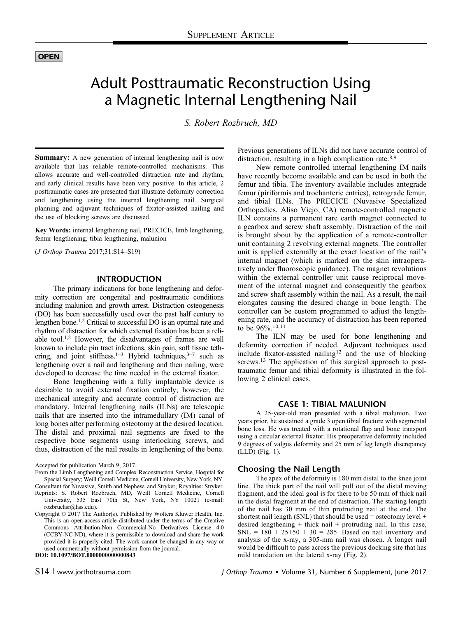# **OPEN**

# Adult Posttraumatic Reconstruction Using a Magnetic Internal Lengthening Nail

S. Robert Rozbruch, MD

Summary: A new generation of internal lengthening nail is now available that has reliable remote-controlled mechanisms. This allows accurate and well-controlled distraction rate and rhythm, and early clinical results have been very positive. In this article, 2 posttraumatic cases are presented that illustrate deformity correction and lengthening using the internal lengthening nail. Surgical planning and adjuvant techniques of fixator-assisted nailing and the use of blocking screws are discussed.

Key Words: internal lengthening nail, PRECICE, limb lengthening, femur lengthening, tibia lengthening, malunion

(J Orthop Trauma 2017;31:S14–S19)

#### INTRODUCTION

The primary indications for bone lengthening and deformity correction are congenital and posttraumatic conditions including malunion and growth arrest. Distraction osteogenesis (DO) has been successfully used over the past half century to lengthen bone.1,2 Critical to successful DO is an optimal rate and rhythm of distraction for which external fixation has been a reliable tool.1,2 However, the disadvantages of frames are well known to include pin tract infections, skin pain, soft tissue tethering, and joint stiffness.<sup>1–3</sup> Hybrid techniques,<sup>3–7</sup> such as lengthening over a nail and lengthening and then nailing, were developed to decrease the time needed in the external fixator.

Bone lengthening with a fully implantable device is desirable to avoid external fixation entirely; however, the mechanical integrity and accurate control of distraction are mandatory. Internal lengthening nails (ILNs) are telescopic nails that are inserted into the intramedullary (IM) canal of long bones after performing osteotomy at the desired location. The distal and proximal nail segments are fixed to the respective bone segments using interlocking screws, and thus, distraction of the nail results in lengthening of the bone.

DOI: 10.1097/BOT.0000000000000843

Previous generations of ILNs did not have accurate control of distraction, resulting in a high complication rate.<sup>8,9</sup>

New remote controlled internal lengthening IM nails have recently become available and can be used in both the femur and tibia. The inventory available includes antegrade femur (piriformis and trochanteric entries), retrograde femur, and tibial ILNs. The PRECICE (Nuvasive Specialized Orthopedics, Aliso Viejo, CA) remote-controlled magnetic ILN contains a permanent rare earth magnet connected to a gearbox and screw shaft assembly. Distraction of the nail is brought about by the application of a remote-controller unit containing 2 revolving external magnets. The controller unit is applied externally at the exact location of the nail's internal magnet (which is marked on the skin intraoperatively under fluoroscopic guidance). The magnet revolutions within the external controller unit cause reciprocal movement of the internal magnet and consequently the gearbox and screw shaft assembly within the nail. As a result, the nail elongates causing the desired change in bone length. The controller can be custom programmed to adjust the lengthening rate, and the accuracy of distraction has been reported to be  $96\%$ <sup>10,11</sup>

The ILN may be used for bone lengthening and deformity correction if needed. Adjuvant techniques used include fixator-assisted nailing<sup>12</sup> and the use of blocking screws.<sup>13</sup> The application of this surgical approach to posttraumatic femur and tibial deformity is illustrated in the following 2 clinical cases.

#### CASE 1: TIBIAL MALUNION

A 25-year-old man presented with a tibial malunion. Two years prior, he sustained a grade 3 open tibial fracture with segmental bone loss. He was treated with a rotational flap and bone transport using a circular external fixator. His preoperative deformity included 9 degrees of valgus deformity and 25 mm of leg length discrepancy (LLD) (Fig. 1).

## Choosing the Nail Length

The apex of the deformity is 180 mm distal to the knee joint line. The thick part of the nail will pull out of the distal moving fragment, and the ideal goal is for there to be 50 mm of thick nail in the distal fragment at the end of distraction. The starting length of the nail has 30 mm of thin protruding nail at the end. The shortest nail length (SNL) that should be used = osteotomy level + desired lengthening + thick nail + protruding nail. In this case, SNL =  $180 + 25 + 50 + 30 = 285$ . Based on nail inventory and analysis of the x-ray, a 305-mm nail was chosen. A longer nail would be difficult to pass across the previous docking site that has mild translation on the lateral x-ray (Fig. 2).

Accepted for publication March 9, 2017.

From the Limb Lengthening and Complex Reconstruction Service, Hospital for Special Surgery; Weill Cornell Medicine, Cornell University, New York, NY. Consultant for Nuvasive, Smith and Nephew, and Stryker; Royalties: Stryker.

Reprints: S. Robert Rozbruch, MD, Weill Cornell Medicine, Cornell University, 535 East 70th St, New York, NY 10021 (e-mail: rozbruchsr@hss.edu).

[Copyright © 2017 Th](mailto:rozbruchsr@hss.edu)e Author(s). Published by Wolters Kluwer Health, Inc. This is an open-access article distributed under the terms of the Creative Commons Attribution-Non Commercial-No Derivatives L[icense 4](http://creativecommons.org/licenses/by-nc-nd/4.0/).0 [\(CCBY-NC-ND\), where it is permissible to download and share the wo](http://creativecommons.org/licenses/by-nc-nd/4.0/)rk [provided it is](http://creativecommons.org/licenses/by-nc-nd/4.0/) properly cited. The work cannot be changed in any way or used commercially without permission from the journal.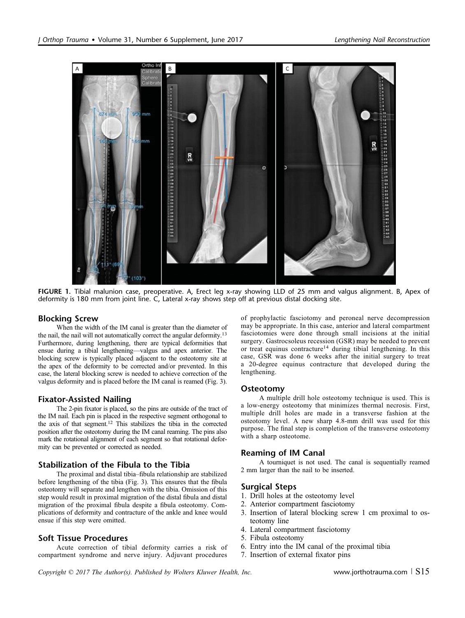

FIGURE 1. Tibial malunion case, preoperative. A, Erect leg x-ray showing LLD of 25 mm and valgus alignment. B, Apex of deformity is 180 mm from joint line. C, Lateral x-ray shows step off at previous distal docking site.

## Blocking Screw

When the width of the IM canal is greater than the diameter of the nail, the nail will not automatically correct the angular deformity.13 Furthermore, during lengthening, there are typical deformities that ensue during a tibial lengthening—valgus and apex anterior. The blocking screw is typically placed adjacent to the osteotomy site at the apex of the deformity to be corrected and/or prevented. In this case, the lateral blocking screw is needed to achieve correction of the valgus deformity and is placed before the IM canal is reamed (Fig. 3).

# Fixator-Assisted Nailing

The 2-pin fixator is placed, so the pins are outside of the tract of the IM nail. Each pin is placed in the respective segment orthogonal to the axis of that segment.12 This stabilizes the tibia in the corrected position after the osteotomy during the IM canal reaming. The pins also mark the rotational alignment of each segment so that rotational deformity can be prevented or corrected as needed.

# Stabilization of the Fibula to the Tibia

The proximal and distal tibia–fibula relationship are stabilized before lengthening of the tibia (Fig. 3). This ensures that the fibula osteotomy will separate and lengthen with the tibia. Omission of this step would result in proximal migration of the distal fibula and distal migration of the proximal fibula despite a fibula osteotomy. Complications of deformity and contracture of the ankle and knee would ensue if this step were omitted.

# Soft Tissue Procedures

Acute correction of tibial deformity carries a risk of compartment syndrome and nerve injury. Adjuvant procedures

of prophylactic fasciotomy and peroneal nerve decompression may be appropriate. In this case, anterior and lateral compartment fasciotomies were done through small incisions at the initial surgery. Gastrocsoleus recession (GSR) may be needed to prevent or treat equinus contracture<sup>14</sup> during tibial lengthening. In this case, GSR was done 6 weeks after the initial surgery to treat a 20-degree equinus contracture that developed during the lengthening.

## Osteotomy

A multiple drill hole osteotomy technique is used. This is a low-energy osteotomy that minimizes thermal necrosis. First, multiple drill holes are made in a transverse fashion at the osteotomy level. A new sharp 4.8-mm drill was used for this purpose. The final step is completion of the transverse osteotomy with a sharp osteotome.

# Reaming of IM Canal

A tourniquet is not used. The canal is sequentially reamed 2 mm larger than the nail to be inserted.

## Surgical Steps

- 1. Drill holes at the osteotomy level
- 2. Anterior compartment fasciotomy
- 3. Insertion of lateral blocking screw 1 cm proximal to osteotomy line
- 4. Lateral compartment fasciotomy
- 5. Fibula osteotomy
- 6. Entry into the IM canal of the proximal tibia
- 7. Insertion of external fixator pins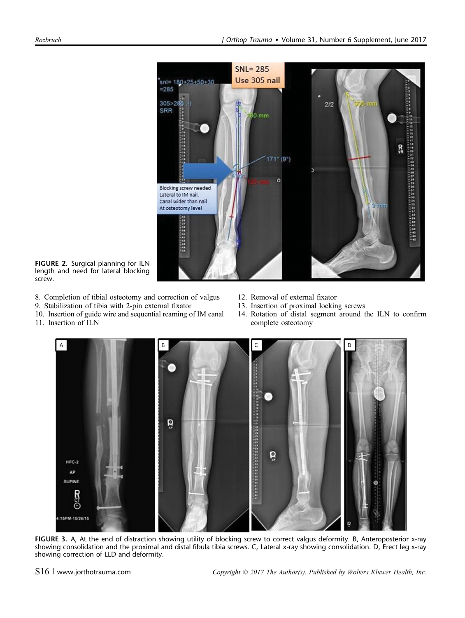

FIGURE 2. Surgical planning for ILN length and need for lateral blocking screw.

- 8. Completion of tibial osteotomy and correction of valgus
- 9. Stabilization of tibia with 2-pin external fixator
- 10. Insertion of guide wire and sequential reaming of IM canal
- 11. Insertion of ILN
- 12. Removal of external fixator
- 13. Insertion of proximal locking screws
- 14. Rotation of distal segment around the ILN to confirm complete osteotomy



FIGURE 3. A, At the end of distraction showing utility of blocking screw to correct valgus deformity. B, Anteroposterior x-ray showing consolidation and the proximal and distal fibula tibia screws. C, Lateral x-ray showing consolidation. D, Erect leg x-ray showing correction of LLD and deformity.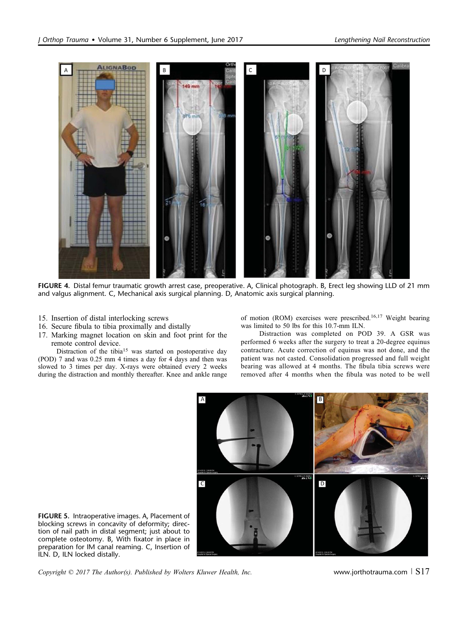

FIGURE 4. Distal femur traumatic growth arrest case, preoperative. A, Clinical photograph. B, Erect leg showing LLD of 21 mm and valgus alignment. C, Mechanical axis surgical planning. D, Anatomic axis surgical planning.

- 15. Insertion of distal interlocking screws
- 16. Secure fibula to tibia proximally and distally
- 17. Marking magnet location on skin and foot print for the remote control device.

Distraction of the tibia<sup>15</sup> was started on postoperative day (POD) 7 and was 0.25 mm 4 times a day for 4 days and then was slowed to 3 times per day. X-rays were obtained every 2 weeks during the distraction and monthly thereafter. Knee and ankle range

of motion (ROM) exercises were prescribed.16,17 Weight bearing was limited to 50 lbs for this 10.7-mm ILN.

Distraction was completed on POD 39. A GSR was performed 6 weeks after the surgery to treat a 20-degree equinus contracture. Acute correction of equinus was not done, and the patient was not casted. Consolidation progressed and full weight bearing was allowed at 4 months. The fibula tibia screws were removed after 4 months when the fibula was noted to be well



FIGURE 5. Intraoperative images. A, Placement of blocking screws in concavity of deformity; direction of nail path in distal segment; just about to complete osteotomy. B, With fixator in place in preparation for IM canal reaming. C, Insertion of ILN. D, ILN locked distally.

Copyright  $\odot$  2017 The Author(s). Published by Wolters Kluwer Health, Inc. www.jorthotrauma.com  $\lceil S17 \rceil$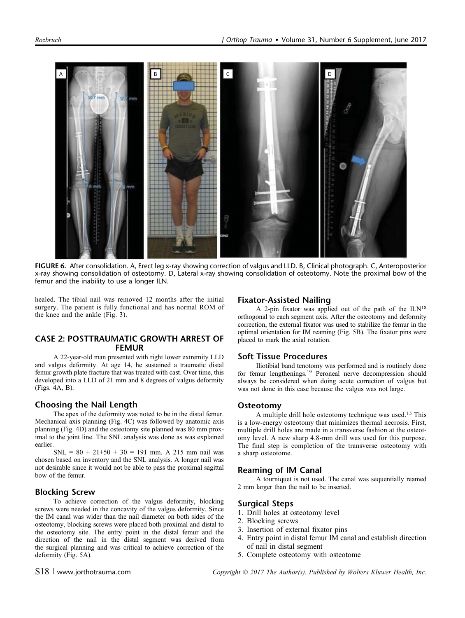

FIGURE 6. After consolidation. A, Erect leg x-ray showing correction of valgus and LLD. B, Clinical photograph. C, Anteroposterior x-ray showing consolidation of osteotomy. D, Lateral x-ray showing consolidation of osteotomy. Note the proximal bow of the femur and the inability to use a longer ILN.

healed. The tibial nail was removed 12 months after the initial surgery. The patient is fully functional and has normal ROM of the knee and the ankle (Fig. 3).

## CASE 2: POSTTRAUMATIC GROWTH ARREST OF FEMUR

A 22-year-old man presented with right lower extremity LLD and valgus deformity. At age 14, he sustained a traumatic distal femur growth plate fracture that was treated with cast. Over time, this developed into a LLD of 21 mm and 8 degrees of valgus deformity (Figs. 4A, B).

# Choosing the Nail Length

The apex of the deformity was noted to be in the distal femur. Mechanical axis planning (Fig. 4C) was followed by anatomic axis planning (Fig. 4D) and the osteotomy site planned was 80 mm proximal to the joint line. The SNL analysis was done as was explained earlier.

 $SNL = 80 + 21 + 50 + 30 = 191$  mm. A 215 mm nail was chosen based on inventory and the SNL analysis. A longer nail was not desirable since it would not be able to pass the proximal sagittal bow of the femur.

#### Blocking Screw

To achieve correction of the valgus deformity, blocking screws were needed in the concavity of the valgus deformity. Since the IM canal was wider than the nail diameter on both sides of the osteotomy, blocking screws were placed both proximal and distal to the osteotomy site. The entry point in the distal femur and the direction of the nail in the distal segment was derived from the surgical planning and was critical to achieve correction of the deformity (Fig. 5A).

#### Fixator-Assisted Nailing

A 2-pin fixator was applied out of the path of the ILN<sup>18</sup> orthogonal to each segment axis. After the osteotomy and deformity correction, the external fixator was used to stabilize the femur in the optimal orientation for IM reaming (Fig. 5B). The fixator pins were placed to mark the axial rotation.

#### Soft Tissue Procedures

Iliotibial band tenotomy was performed and is routinely done for femur lengthenings.<sup>19</sup> Peroneal nerve decompression should always be considered when doing acute correction of valgus but was not done in this case because the valgus was not large.

#### Osteotomy

A multiple drill hole osteotomy technique was used.<sup>15</sup> This is a low-energy osteotomy that minimizes thermal necrosis. First, multiple drill holes are made in a transverse fashion at the osteotomy level. A new sharp 4.8-mm drill was used for this purpose. The final step is completion of the transverse osteotomy with a sharp osteotome.

## Reaming of IM Canal

A tourniquet is not used. The canal was sequentially reamed 2 mm larger than the nail to be inserted.

## Surgical Steps

- 1. Drill holes at osteotomy level
- 2. Blocking screws
- 3. Insertion of external fixator pins
- 4. Entry point in distal femur IM canal and establish direction of nail in distal segment
- 5. Complete osteotomy with osteotome

 $S18$  | www.jorthotrauma.com  $Copyright \odot 2017$  The Author(s). Published by Wolters Kluwer Health, Inc.